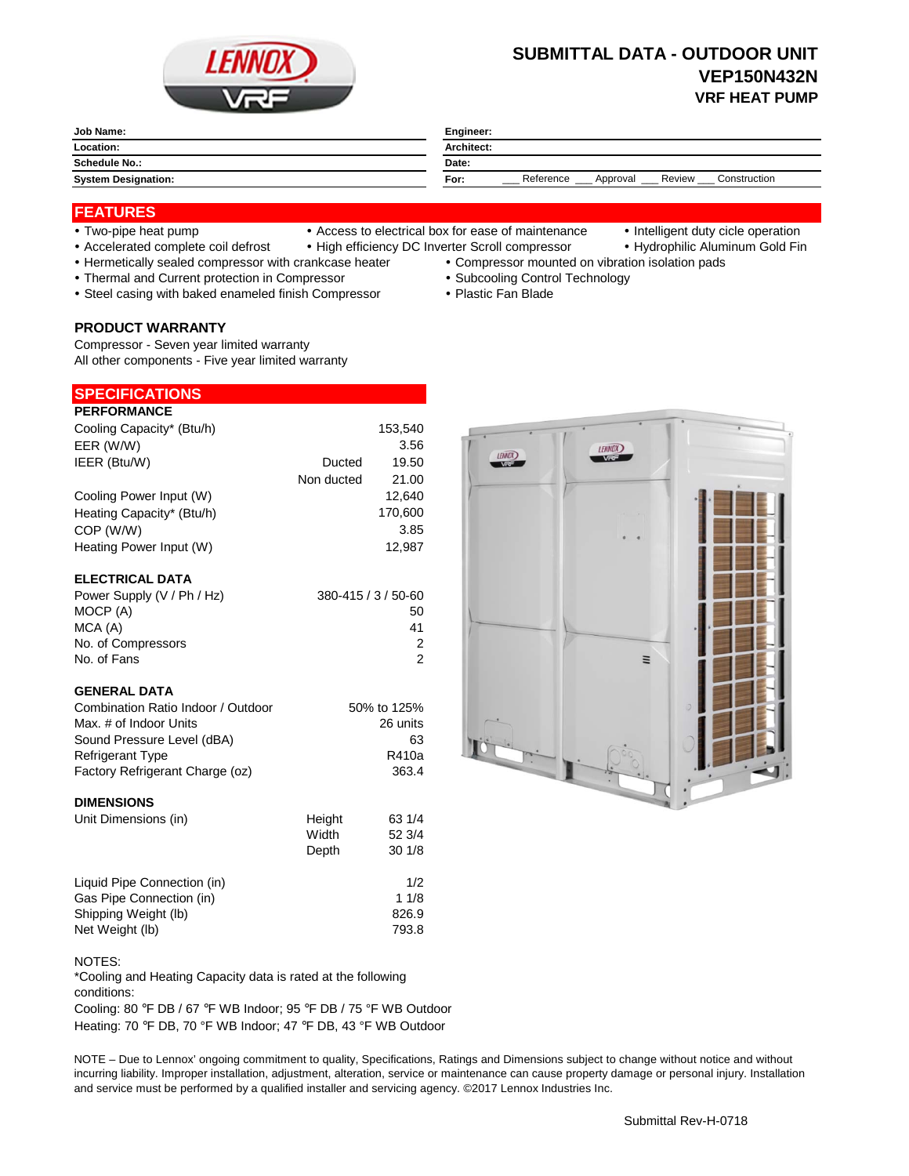

# **SUBMITTAL DATA - OUTDOOR UNIT VEP150N432N VRF HEAT PUMP**

| Job Name:                  | Engineer:                                               |
|----------------------------|---------------------------------------------------------|
| Location:                  | <b>Architect:</b>                                       |
| <b>Schedule No.:</b>       | Date:                                                   |
| <b>System Designation:</b> | Construction<br>Reference<br>Review<br>For:<br>Approval |

## **FEATURES**

- 
- Two-pipe heat pump Access to electrical box for ease of maintenance Intelligent duty cicle operation
- 
- Accelerated complete coil defrost High efficiency DC Inverter Scroll compressor Hydrophilic Aluminum Gold Fin
- Hermetically sealed compressor with crankcase heater Compressor mounted on vibration isolation pads
- Thermal and Current protection in Compressor **Subcooling Control Technology Subcooling Control Technology**
- Steel casing with baked enameled finish Compressor Plastic Fan Blade

## **PRODUCT WARRANTY**

Compressor - Seven year limited warranty All other components - Five year limited warranty

| <b>SPECIFICATIONS</b> |  |  |  |
|-----------------------|--|--|--|
| <b>BEBEABHANAE</b>    |  |  |  |

| <b>PERFORMANCE</b>        |            |         |
|---------------------------|------------|---------|
| Cooling Capacity* (Btu/h) |            | 153,540 |
| EER (W/W)                 |            | 3.56    |
| IEER (Btu/W)              | Ducted     | 19.50   |
|                           | Non ducted | 21.00   |
| Cooling Power Input (W)   |            | 12.640  |
| Heating Capacity* (Btu/h) |            | 170,600 |
| COP (W/W)                 |            | 3.85    |
| Heating Power Input (W)   |            | 12.987  |
|                           |            |         |
| <b>ELECTRICAL DATA</b>    |            |         |

| Power Supply (V / Ph / Hz) | 380-415 / 3 / 50-60 |
|----------------------------|---------------------|
| MOCP (A)                   | 50                  |
| MCA (A)                    | 41                  |
| No. of Compressors         |                     |
| No. of Fans                |                     |

### **GENERAL DATA**

| 50% to 125% |
|-------------|
| 26 units    |
| 63          |
| R410a       |
| 363.4       |
|             |

#### **DIMENSIONS**

| Unit Dimensions (in)        | Height | 63 1/4 |
|-----------------------------|--------|--------|
|                             | Width  | 52 3/4 |
|                             | Depth  | 301/8  |
| Liquid Pipe Connection (in) |        | 1/2    |
| Gas Pipe Connection (in)    |        | 11/8   |
| Shipping Weight (lb)        |        | 826.9  |
| Net Weight (lb)             |        | 793.8  |

#### NOTES:

\*Cooling and Heating Capacity data is rated at the following conditions:

Cooling: 80 °F DB / 67 °F WB Indoor; 95 °F DB / 75 °F WB Outdoor Heating: 70 °F DB, 70 °F WB Indoor; 47 °F DB, 43 °F WB Outdoor

NOTE – Due to Lennox' ongoing commitment to quality, Specifications, Ratings and Dimensions subject to change without notice and without incurring liability. Improper installation, adjustment, alteration, service or maintenance can cause property damage or personal injury. Installation and service must be performed by a qualified installer and servicing agency. ©2017 Lennox Industries Inc.